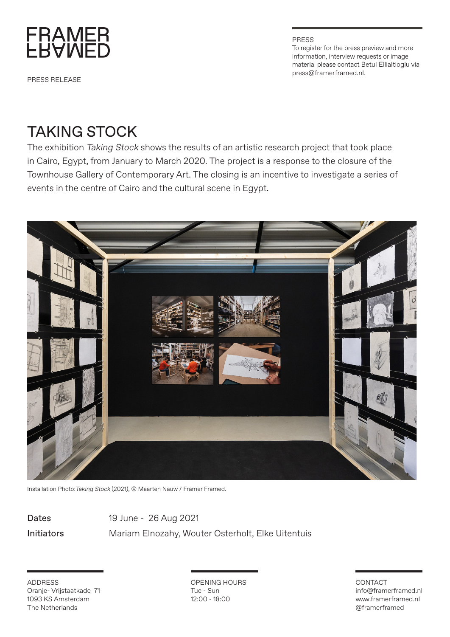

PRESS RELEASE

PRESS To register for the press preview and more information, interview requests or image material please contact Betul Ellialtioglu via press@framerframed.nl.

## TAKING STOCK

The exhibition Taking Stock shows the results of an artistic research project that took place in Cairo, Egypt, from January to March 2020. The project is a response to the closure of the Townhouse Gallery of Contemporary Art. The closing is an incentive to investigate a series of events in the centre of Cairo and the cultural scene in Egypt.



Installation Photo:Taking Stock (2021), © Maarten Nauw / Framer Framed.

Dates 19 June - 26 Aug 2021 Initiators Mariam Elnozahy, Wouter Osterholt, Elke Uitentuis

ADDRESS Oranje- Vrijstaatkade 71 1093 KS Amsterdam The Netherlands

OPENING HOURS Tue - Sun 12:00 - 18:00

## CONTACT info@framerframed.nl www.framerframed.nl @framerframed